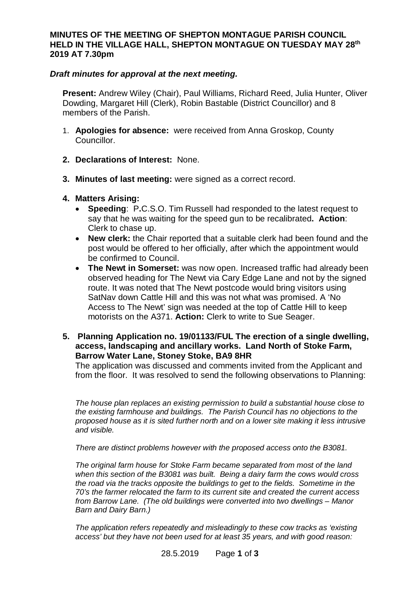## **MINUTES OF THE MEETING OF SHEPTON MONTAGUE PARISH COUNCIL HELD IN THE VILLAGE HALL, SHEPTON MONTAGUE ON TUESDAY MAY 28th 2019 AT 7.30pm**

## *Draft minutes for approval at the next meeting.*

**Present:** Andrew Wiley (Chair), Paul Williams, Richard Reed, Julia Hunter, Oliver Dowding, Margaret Hill (Clerk), Robin Bastable (District Councillor) and 8 members of the Parish.

- 1. **Apologies for absence:** were received from Anna Groskop, County Councillor.
- **2. Declarations of Interest:** None.
- **3. Minutes of last meeting:** were signed as a correct record.
- **4. Matters Arising:**
	- **Speeding: P.C.S.O. Tim Russell had responded to the latest request to** say that he was waiting for the speed gun to be recalibrated**. Action**: Clerk to chase up.
	- · **New clerk:** the Chair reported that a suitable clerk had been found and the post would be offered to her officially, after which the appointment would be confirmed to Council.
	- · **The Newt in Somerset:** was now open. Increased traffic had already been observed heading for The Newt via Cary Edge Lane and not by the signed route. It was noted that The Newt postcode would bring visitors using SatNav down Cattle Hill and this was not what was promised. A 'No Access to The Newt' sign was needed at the top of Cattle Hill to keep motorists on the A371. **Action:** Clerk to write to Sue Seager.
- **5. Planning Application no. 19/01133/FUL The erection of a single dwelling, access, landscaping and ancillary works. Land North of Stoke Farm, Barrow Water Lane, Stoney Stoke, BA9 8HR**

The application was discussed and comments invited from the Applicant and from the floor. It was resolved to send the following observations to Planning:

*The house plan replaces an existing permission to build a substantial house close to the existing farmhouse and buildings. The Parish Council has no objections to the proposed house as it is sited further north and on a lower site making it less intrusive and visible.*

*There are distinct problems however with the proposed access onto the B3081.*

*The original farm house for Stoke Farm became separated from most of the land when this section of the B3081 was built. Being a dairy farm the cows would cross the road via the tracks opposite the buildings to get to the fields. Sometime in the 70's the farmer relocated the farm to its current site and created the current access from Barrow Lane. (The old buildings were converted into two dwellings – Manor Barn and Dairy Barn.)*

*The application refers repeatedly and misleadingly to these cow tracks as 'existing access' but they have not been used for at least 35 years, and with good reason:*

28.5.2019 Page **1** of **3**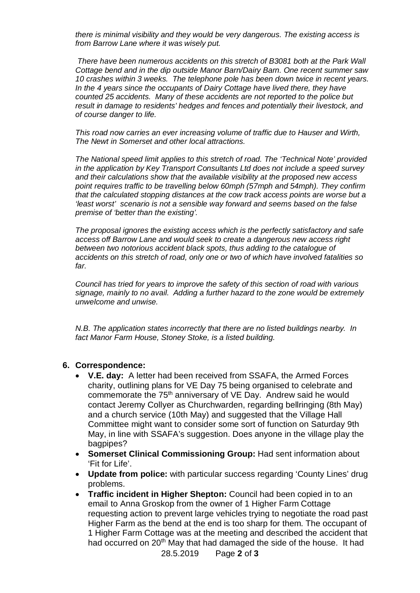*there is minimal visibility and they would be very dangerous. The existing access is from Barrow Lane where it was wisely put.*

 *There have been numerous accidents on this stretch of B3081 both at the Park Wall Cottage bend and in the dip outside Manor Barn/Dairy Barn. One recent summer saw 10 crashes within 3 weeks. The telephone pole has been down twice in recent years. In the 4 years since the occupants of Dairy Cottage have lived there, they have counted 25 accidents. Many of these accidents are not reported to the police but result in damage to residents' hedges and fences and potentially their livestock, and of course danger to life.*

*This road now carries an ever increasing volume of traffic due to Hauser and Wirth, The Newt in Somerset and other local attractions.*

*The National speed limit applies to this stretch of road. The 'Technical Note' provided in the application by Key Transport Consultants Ltd does not include a speed survey and their calculations show that the available visibility at the proposed new access point requires traffic to be travelling below 60mph (57mph and 54mph). They confirm that the calculated stopping distances at the cow track access points are worse but a 'least worst' scenario is not a sensible way forward and seems based on the false premise of 'better than the existing'.*

*The proposal ignores the existing access which is the perfectly satisfactory and safe access off Barrow Lane and would seek to create a dangerous new access right between two notorious accident black spots, thus adding to the catalogue of accidents on this stretch of road, only one or two of which have involved fatalities so far.*

*Council has tried for years to improve the safety of this section of road with various signage, mainly to no avail. Adding a further hazard to the zone would be extremely unwelcome and unwise.*

*N.B. The application states incorrectly that there are no listed buildings nearby. In fact Manor Farm House, Stoney Stoke, is a listed building.*

## **6. Correspondence:**

- · **V.E. day:** A letter had been received from SSAFA, the Armed Forces charity, outlining plans for VE Day 75 being organised to celebrate and commemorate the 75<sup>th</sup> anniversary of VE Day. Andrew said he would contact Jeremy Collyer as Churchwarden, regarding bellringing (8th May) and a church service (10th May) and suggested that the Village Hall Committee might want to consider some sort of function on Saturday 9th May, in line with SSAFA's suggestion. Does anyone in the village play the bagpipes?
- · **Somerset Clinical Commissioning Group:** Had sent information about 'Fit for Life'.
- · **Update from police:** with particular success regarding 'County Lines' drug problems.
- · **Traffic incident in Higher Shepton:** Council had been copied in to an email to Anna Groskop from the owner of 1 Higher Farm Cottage requesting action to prevent large vehicles trying to negotiate the road past Higher Farm as the bend at the end is too sharp for them. The occupant of 1 Higher Farm Cottage was at the meeting and described the accident that had occurred on 20<sup>th</sup> May that had damaged the side of the house. It had